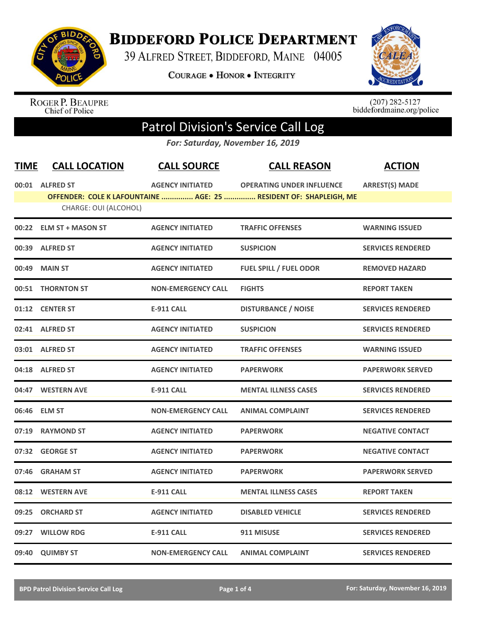

## **BIDDEFORD POLICE DEPARTMENT**

39 ALFRED STREET, BIDDEFORD, MAINE 04005

**COURAGE . HONOR . INTEGRITY** 



ROGER P. BEAUPRE<br>Chief of Police

 $(207)$  282-5127<br>biddefordmaine.org/police

## Patrol Division's Service Call Log

*For: Saturday, November 16, 2019*

| <b>TIME</b> | <b>CALL LOCATION</b>    | <b>CALL SOURCE</b>        | <b>CALL REASON</b>                                                                                    | <b>ACTION</b>            |
|-------------|-------------------------|---------------------------|-------------------------------------------------------------------------------------------------------|--------------------------|
|             | 00:01 ALFRED ST         | <b>AGENCY INITIATED</b>   | <b>OPERATING UNDER INFLUENCE</b><br>OFFENDER: COLE K LAFOUNTAINE  AGE: 25  RESIDENT OF: SHAPLEIGH, ME | <b>ARREST(S) MADE</b>    |
|             | CHARGE: OUI (ALCOHOL)   |                           |                                                                                                       |                          |
|             | 00:22 ELM ST + MASON ST | <b>AGENCY INITIATED</b>   | <b>TRAFFIC OFFENSES</b>                                                                               | <b>WARNING ISSUED</b>    |
|             | 00:39 ALFRED ST         | <b>AGENCY INITIATED</b>   | <b>SUSPICION</b>                                                                                      | <b>SERVICES RENDERED</b> |
|             | 00:49 MAIN ST           | <b>AGENCY INITIATED</b>   | <b>FUEL SPILL / FUEL ODOR</b>                                                                         | <b>REMOVED HAZARD</b>    |
| 00:51       | <b>THORNTON ST</b>      | <b>NON-EMERGENCY CALL</b> | <b>FIGHTS</b>                                                                                         | <b>REPORT TAKEN</b>      |
|             | 01:12 CENTER ST         | <b>E-911 CALL</b>         | <b>DISTURBANCE / NOISE</b>                                                                            | <b>SERVICES RENDERED</b> |
|             | 02:41 ALFRED ST         | <b>AGENCY INITIATED</b>   | <b>SUSPICION</b>                                                                                      | <b>SERVICES RENDERED</b> |
|             | 03:01 ALFRED ST         | <b>AGENCY INITIATED</b>   | <b>TRAFFIC OFFENSES</b>                                                                               | <b>WARNING ISSUED</b>    |
|             | 04:18 ALFRED ST         | <b>AGENCY INITIATED</b>   | <b>PAPERWORK</b>                                                                                      | <b>PAPERWORK SERVED</b>  |
|             | 04:47 WESTERN AVE       | <b>E-911 CALL</b>         | <b>MENTAL ILLNESS CASES</b>                                                                           | <b>SERVICES RENDERED</b> |
|             | 06:46 ELM ST            | <b>NON-EMERGENCY CALL</b> | <b>ANIMAL COMPLAINT</b>                                                                               | <b>SERVICES RENDERED</b> |
|             | 07:19 RAYMOND ST        | <b>AGENCY INITIATED</b>   | <b>PAPERWORK</b>                                                                                      | <b>NEGATIVE CONTACT</b>  |
|             | 07:32 GEORGE ST         | <b>AGENCY INITIATED</b>   | <b>PAPERWORK</b>                                                                                      | <b>NEGATIVE CONTACT</b>  |
| 07:46       | <b>GRAHAM ST</b>        | <b>AGENCY INITIATED</b>   | <b>PAPERWORK</b>                                                                                      | <b>PAPERWORK SERVED</b>  |
| 08:12       | <b>WESTERN AVE</b>      | <b>E-911 CALL</b>         | <b>MENTAL ILLNESS CASES</b>                                                                           | <b>REPORT TAKEN</b>      |
| 09:25       | <b>ORCHARD ST</b>       | <b>AGENCY INITIATED</b>   | <b>DISABLED VEHICLE</b>                                                                               | <b>SERVICES RENDERED</b> |
| 09:27       | <b>WILLOW RDG</b>       | <b>E-911 CALL</b>         | 911 MISUSE                                                                                            | <b>SERVICES RENDERED</b> |
|             | 09:40 QUIMBY ST         | <b>NON-EMERGENCY CALL</b> | <b>ANIMAL COMPLAINT</b>                                                                               | <b>SERVICES RENDERED</b> |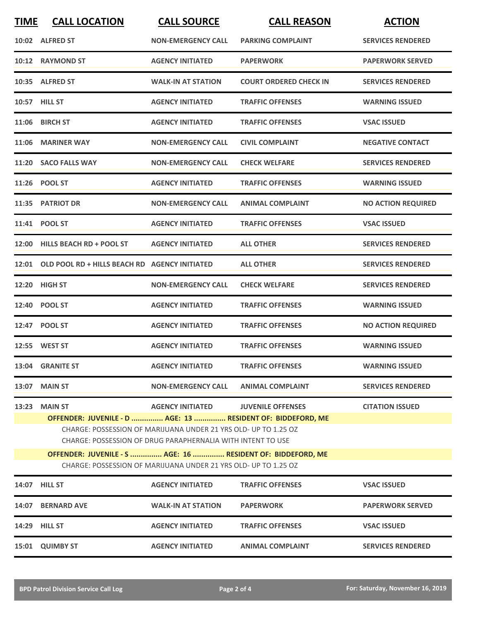| <b>TIME</b> | <b>CALL LOCATION</b>                                                                                                                                                                                                                                                                                                                                                                                                               | <b>CALL SOURCE</b>        | <b>CALL REASON</b>            | <b>ACTION</b>             |  |
|-------------|------------------------------------------------------------------------------------------------------------------------------------------------------------------------------------------------------------------------------------------------------------------------------------------------------------------------------------------------------------------------------------------------------------------------------------|---------------------------|-------------------------------|---------------------------|--|
|             | 10:02 ALFRED ST                                                                                                                                                                                                                                                                                                                                                                                                                    | <b>NON-EMERGENCY CALL</b> | <b>PARKING COMPLAINT</b>      | <b>SERVICES RENDERED</b>  |  |
|             | 10:12 RAYMOND ST                                                                                                                                                                                                                                                                                                                                                                                                                   | <b>AGENCY INITIATED</b>   | <b>PAPERWORK</b>              | <b>PAPERWORK SERVED</b>   |  |
|             | 10:35 ALFRED ST                                                                                                                                                                                                                                                                                                                                                                                                                    | <b>WALK-IN AT STATION</b> | <b>COURT ORDERED CHECK IN</b> | <b>SERVICES RENDERED</b>  |  |
|             | 10:57 HILL ST                                                                                                                                                                                                                                                                                                                                                                                                                      | <b>AGENCY INITIATED</b>   | <b>TRAFFIC OFFENSES</b>       | <b>WARNING ISSUED</b>     |  |
|             | 11:06 BIRCH ST                                                                                                                                                                                                                                                                                                                                                                                                                     | <b>AGENCY INITIATED</b>   | <b>TRAFFIC OFFENSES</b>       | <b>VSAC ISSUED</b>        |  |
|             | 11:06 MARINER WAY                                                                                                                                                                                                                                                                                                                                                                                                                  | <b>NON-EMERGENCY CALL</b> | <b>CIVIL COMPLAINT</b>        | <b>NEGATIVE CONTACT</b>   |  |
| 11:20       | <b>SACO FALLS WAY</b>                                                                                                                                                                                                                                                                                                                                                                                                              | <b>NON-EMERGENCY CALL</b> | <b>CHECK WELFARE</b>          | <b>SERVICES RENDERED</b>  |  |
|             | 11:26 POOL ST                                                                                                                                                                                                                                                                                                                                                                                                                      | <b>AGENCY INITIATED</b>   | <b>TRAFFIC OFFENSES</b>       | <b>WARNING ISSUED</b>     |  |
|             | 11:35 PATRIOT DR                                                                                                                                                                                                                                                                                                                                                                                                                   | <b>NON-EMERGENCY CALL</b> | <b>ANIMAL COMPLAINT</b>       | <b>NO ACTION REQUIRED</b> |  |
|             | 11:41 POOL ST                                                                                                                                                                                                                                                                                                                                                                                                                      | <b>AGENCY INITIATED</b>   | <b>TRAFFIC OFFENSES</b>       | <b>VSAC ISSUED</b>        |  |
|             | 12:00 HILLS BEACH RD + POOL ST                                                                                                                                                                                                                                                                                                                                                                                                     | <b>AGENCY INITIATED</b>   | <b>ALL OTHER</b>              | <b>SERVICES RENDERED</b>  |  |
|             | 12:01 OLD POOL RD + HILLS BEACH RD AGENCY INITIATED                                                                                                                                                                                                                                                                                                                                                                                |                           | <b>ALL OTHER</b>              | <b>SERVICES RENDERED</b>  |  |
| 12:20       | <b>HIGH ST</b>                                                                                                                                                                                                                                                                                                                                                                                                                     | <b>NON-EMERGENCY CALL</b> | <b>CHECK WELFARE</b>          | <b>SERVICES RENDERED</b>  |  |
| 12:40       | <b>POOL ST</b>                                                                                                                                                                                                                                                                                                                                                                                                                     | <b>AGENCY INITIATED</b>   | <b>TRAFFIC OFFENSES</b>       | <b>WARNING ISSUED</b>     |  |
|             | 12:47 POOL ST                                                                                                                                                                                                                                                                                                                                                                                                                      | <b>AGENCY INITIATED</b>   | <b>TRAFFIC OFFENSES</b>       | <b>NO ACTION REQUIRED</b> |  |
|             | 12:55 WEST ST                                                                                                                                                                                                                                                                                                                                                                                                                      | <b>AGENCY INITIATED</b>   | <b>TRAFFIC OFFENSES</b>       | <b>WARNING ISSUED</b>     |  |
|             | 13:04 GRANITE ST                                                                                                                                                                                                                                                                                                                                                                                                                   | <b>AGENCY INITIATED</b>   | <b>TRAFFIC OFFENSES</b>       | <b>WARNING ISSUED</b>     |  |
| 13:07       | <b>MAIN ST</b>                                                                                                                                                                                                                                                                                                                                                                                                                     | <b>NON-EMERGENCY CALL</b> | <b>ANIMAL COMPLAINT</b>       | <b>SERVICES RENDERED</b>  |  |
| 13:23       | <b>MAIN ST</b><br><b>AGENCY INITIATED</b><br><b>JUVENILE OFFENSES</b><br><b>CITATION ISSUED</b><br>OFFENDER: JUVENILE - D  AGE: 13  RESIDENT OF: BIDDEFORD, ME<br>CHARGE: POSSESSION OF MARIJUANA UNDER 21 YRS OLD- UP TO 1.25 OZ<br>CHARGE: POSSESSION OF DRUG PARAPHERNALIA WITH INTENT TO USE<br>OFFENDER: JUVENILE - S  AGE: 16  RESIDENT OF: BIDDEFORD, ME<br>CHARGE: POSSESSION OF MARIJUANA UNDER 21 YRS OLD- UP TO 1.25 OZ |                           |                               |                           |  |
|             |                                                                                                                                                                                                                                                                                                                                                                                                                                    |                           |                               |                           |  |
| 14:07       | <b>HILL ST</b>                                                                                                                                                                                                                                                                                                                                                                                                                     | <b>AGENCY INITIATED</b>   | <b>TRAFFIC OFFENSES</b>       | <b>VSAC ISSUED</b>        |  |
| 14:07       | <b>BERNARD AVE</b>                                                                                                                                                                                                                                                                                                                                                                                                                 | <b>WALK-IN AT STATION</b> | <b>PAPERWORK</b>              | <b>PAPERWORK SERVED</b>   |  |
|             | 14:29 HILL ST                                                                                                                                                                                                                                                                                                                                                                                                                      | <b>AGENCY INITIATED</b>   | <b>TRAFFIC OFFENSES</b>       | <b>VSAC ISSUED</b>        |  |
| 15:01       | <b>QUIMBY ST</b>                                                                                                                                                                                                                                                                                                                                                                                                                   | <b>AGENCY INITIATED</b>   | <b>ANIMAL COMPLAINT</b>       | <b>SERVICES RENDERED</b>  |  |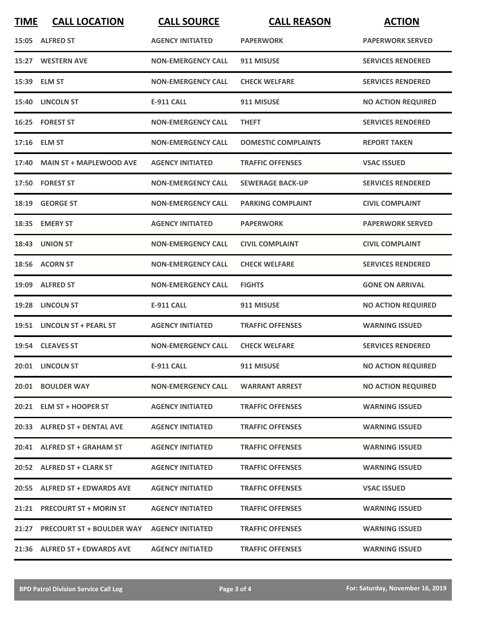| <b>TIME</b> | <b>CALL LOCATION</b>            | <b>CALL SOURCE</b>        | <b>CALL REASON</b>         | <b>ACTION</b>             |
|-------------|---------------------------------|---------------------------|----------------------------|---------------------------|
|             | 15:05 ALFRED ST                 | <b>AGENCY INITIATED</b>   | <b>PAPERWORK</b>           | <b>PAPERWORK SERVED</b>   |
|             | 15:27 WESTERN AVE               | <b>NON-EMERGENCY CALL</b> | 911 MISUSE                 | <b>SERVICES RENDERED</b>  |
|             | 15:39 ELM ST                    | <b>NON-EMERGENCY CALL</b> | <b>CHECK WELFARE</b>       | <b>SERVICES RENDERED</b>  |
|             | 15:40 LINCOLN ST                | <b>E-911 CALL</b>         | 911 MISUSE                 | <b>NO ACTION REQUIRED</b> |
|             | 16:25 FOREST ST                 | <b>NON-EMERGENCY CALL</b> | <b>THEFT</b>               | <b>SERVICES RENDERED</b>  |
|             | 17:16 ELM ST                    | <b>NON-EMERGENCY CALL</b> | <b>DOMESTIC COMPLAINTS</b> | <b>REPORT TAKEN</b>       |
| 17:40       | <b>MAIN ST + MAPLEWOOD AVE</b>  | <b>AGENCY INITIATED</b>   | <b>TRAFFIC OFFENSES</b>    | <b>VSAC ISSUED</b>        |
|             | 17:50 FOREST ST                 | <b>NON-EMERGENCY CALL</b> | <b>SEWERAGE BACK-UP</b>    | <b>SERVICES RENDERED</b>  |
|             | 18:19 GEORGE ST                 | <b>NON-EMERGENCY CALL</b> | <b>PARKING COMPLAINT</b>   | <b>CIVIL COMPLAINT</b>    |
|             | 18:35 EMERY ST                  | <b>AGENCY INITIATED</b>   | <b>PAPERWORK</b>           | <b>PAPERWORK SERVED</b>   |
|             | 18:43 UNION ST                  | <b>NON-EMERGENCY CALL</b> | <b>CIVIL COMPLAINT</b>     | <b>CIVIL COMPLAINT</b>    |
|             | 18:56 ACORN ST                  | <b>NON-EMERGENCY CALL</b> | <b>CHECK WELFARE</b>       | <b>SERVICES RENDERED</b>  |
| 19:09       | <b>ALFRED ST</b>                | <b>NON-EMERGENCY CALL</b> | <b>FIGHTS</b>              | <b>GONE ON ARRIVAL</b>    |
| 19:28       | <b>LINCOLN ST</b>               | <b>E-911 CALL</b>         | 911 MISUSE                 | <b>NO ACTION REQUIRED</b> |
|             | 19:51 LINCOLN ST + PEARL ST     | <b>AGENCY INITIATED</b>   | <b>TRAFFIC OFFENSES</b>    | <b>WARNING ISSUED</b>     |
|             | 19:54 CLEAVES ST                | <b>NON-EMERGENCY CALL</b> | <b>CHECK WELFARE</b>       | <b>SERVICES RENDERED</b>  |
|             | 20:01 LINCOLN ST                | <b>E-911 CALL</b>         | 911 MISUSE                 | <b>NO ACTION REQUIRED</b> |
|             | 20:01 BOULDER WAY               | <b>NON-EMERGENCY CALL</b> | <b>WARRANT ARREST</b>      | <b>NO ACTION REQUIRED</b> |
|             | 20:21 ELM ST + HOOPER ST        | <b>AGENCY INITIATED</b>   | <b>TRAFFIC OFFENSES</b>    | <b>WARNING ISSUED</b>     |
|             | 20:33 ALFRED ST + DENTAL AVE    | <b>AGENCY INITIATED</b>   | <b>TRAFFIC OFFENSES</b>    | <b>WARNING ISSUED</b>     |
|             | 20:41 ALFRED ST + GRAHAM ST     | <b>AGENCY INITIATED</b>   | <b>TRAFFIC OFFENSES</b>    | <b>WARNING ISSUED</b>     |
|             | 20:52 ALFRED ST + CLARK ST      | <b>AGENCY INITIATED</b>   | <b>TRAFFIC OFFENSES</b>    | <b>WARNING ISSUED</b>     |
|             | 20:55 ALFRED ST + EDWARDS AVE   | <b>AGENCY INITIATED</b>   | <b>TRAFFIC OFFENSES</b>    | <b>VSAC ISSUED</b>        |
|             | 21:21 PRECOURT ST + MORIN ST    | <b>AGENCY INITIATED</b>   | <b>TRAFFIC OFFENSES</b>    | <b>WARNING ISSUED</b>     |
|             | 21:27 PRECOURT ST + BOULDER WAY | <b>AGENCY INITIATED</b>   | <b>TRAFFIC OFFENSES</b>    | <b>WARNING ISSUED</b>     |
|             | 21:36 ALFRED ST + EDWARDS AVE   | <b>AGENCY INITIATED</b>   | <b>TRAFFIC OFFENSES</b>    | <b>WARNING ISSUED</b>     |